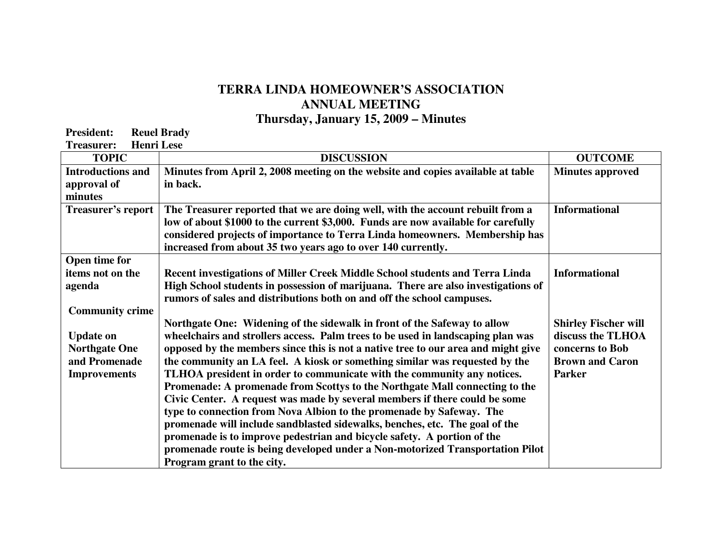## **TERRA LINDA HOMEOWNER'S ASSOCIATION ANNUAL MEETING Thursday, January 15, 2009 – Minutes**

**President:** Reuel Brady<br> **Treasurer:** Henri Lese **Treasurer:** 

| <b>TOPIC</b>              | <b>DISCUSSION</b>                                                                 | <b>OUTCOME</b>              |
|---------------------------|-----------------------------------------------------------------------------------|-----------------------------|
| <b>Introductions and</b>  | Minutes from April 2, 2008 meeting on the website and copies available at table   | <b>Minutes approved</b>     |
| approval of               | in back.                                                                          |                             |
| minutes                   |                                                                                   |                             |
| <b>Treasurer's report</b> | The Treasurer reported that we are doing well, with the account rebuilt from a    | <b>Informational</b>        |
|                           | low of about \$1000 to the current \$3,000. Funds are now available for carefully |                             |
|                           | considered projects of importance to Terra Linda homeowners. Membership has       |                             |
| Open time for             | increased from about 35 two years ago to over 140 currently.                      |                             |
| items not on the          | Recent investigations of Miller Creek Middle School students and Terra Linda      | <b>Informational</b>        |
| agenda                    | High School students in possession of marijuana. There are also investigations of |                             |
|                           | rumors of sales and distributions both on and off the school campuses.            |                             |
| <b>Community crime</b>    |                                                                                   |                             |
|                           | Northgate One: Widening of the sidewalk in front of the Safeway to allow          | <b>Shirley Fischer will</b> |
| <b>Update on</b>          | wheelchairs and strollers access. Palm trees to be used in landscaping plan was   | discuss the TLHOA           |
| <b>Northgate One</b>      | opposed by the members since this is not a native tree to our area and might give | concerns to Bob             |
| and Promenade             | the community an LA feel. A kiosk or something similar was requested by the       | <b>Brown and Caron</b>      |
| <b>Improvements</b>       | TLHOA president in order to communicate with the community any notices.           | <b>Parker</b>               |
|                           | Promenade: A promenade from Scottys to the Northgate Mall connecting to the       |                             |
|                           | Civic Center. A request was made by several members if there could be some        |                             |
|                           | type to connection from Nova Albion to the promenade by Safeway. The              |                             |
|                           | promenade will include sandblasted sidewalks, benches, etc. The goal of the       |                             |
|                           | promenade is to improve pedestrian and bicycle safety. A portion of the           |                             |
|                           | promenade route is being developed under a Non-motorized Transportation Pilot     |                             |
|                           | Program grant to the city.                                                        |                             |